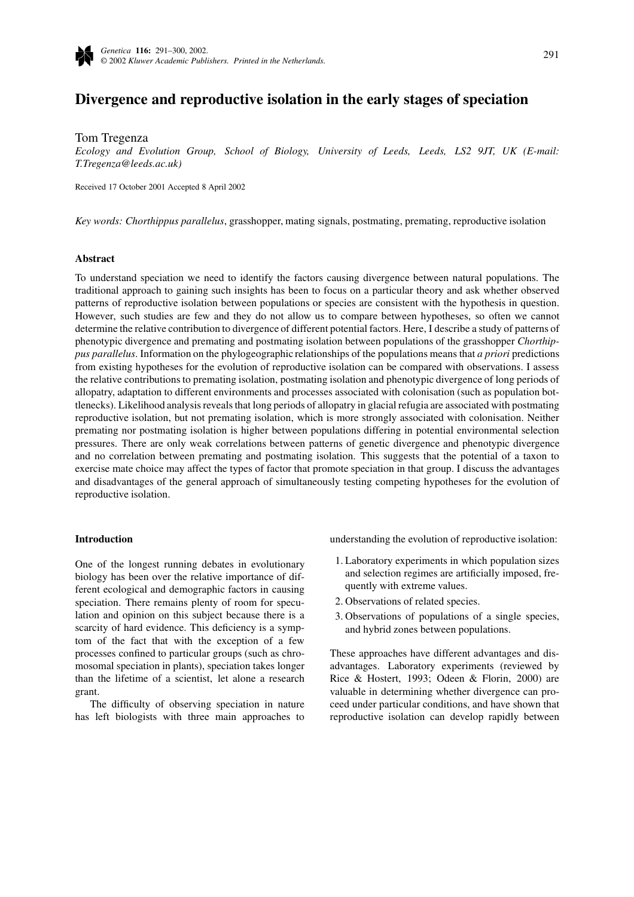

# **Divergence and reproductive isolation in the early stages of speciation**

Tom Tregenza

*Ecology and Evolution Group, School of Biology, University of Leeds, Leeds, LS2 9JT, UK (E-mail: T.Tregenza@leeds.ac.uk)*

Received 17 October 2001 Accepted 8 April 2002

*Key words: Chorthippus parallelus*, grasshopper, mating signals, postmating, premating, reproductive isolation

#### **Abstract**

To understand speciation we need to identify the factors causing divergence between natural populations. The traditional approach to gaining such insights has been to focus on a particular theory and ask whether observed patterns of reproductive isolation between populations or species are consistent with the hypothesis in question. However, such studies are few and they do not allow us to compare between hypotheses, so often we cannot determine the relative contribution to divergence of different potential factors. Here, I describe a study of patterns of phenotypic divergence and premating and postmating isolation between populations of the grasshopper *Chorthippus parallelus*. Information on the phylogeographic relationships of the populations means that *a priori* predictions from existing hypotheses for the evolution of reproductive isolation can be compared with observations. I assess the relative contributions to premating isolation, postmating isolation and phenotypic divergence of long periods of allopatry, adaptation to different environments and processes associated with colonisation (such as population bottlenecks). Likelihood analysis reveals that long periods of allopatry in glacial refugia are associated with postmating reproductive isolation, but not premating isolation, which is more strongly associated with colonisation. Neither premating nor postmating isolation is higher between populations differing in potential environmental selection pressures. There are only weak correlations between patterns of genetic divergence and phenotypic divergence and no correlation between premating and postmating isolation. This suggests that the potential of a taxon to exercise mate choice may affect the types of factor that promote speciation in that group. I discuss the advantages and disadvantages of the general approach of simultaneously testing competing hypotheses for the evolution of reproductive isolation.

### **Introduction**

One of the longest running debates in evolutionary biology has been over the relative importance of different ecological and demographic factors in causing speciation. There remains plenty of room for speculation and opinion on this subject because there is a scarcity of hard evidence. This deficiency is a symptom of the fact that with the exception of a few processes confined to particular groups (such as chromosomal speciation in plants), speciation takes longer than the lifetime of a scientist, let alone a research grant.

The difficulty of observing speciation in nature has left biologists with three main approaches to understanding the evolution of reproductive isolation:

- 1. Laboratory experiments in which population sizes and selection regimes are artificially imposed, frequently with extreme values.
- 2. Observations of related species.
- 3. Observations of populations of a single species, and hybrid zones between populations.

These approaches have different advantages and disadvantages. Laboratory experiments (reviewed by Rice & Hostert, 1993; Odeen & Florin, 2000) are valuable in determining whether divergence can proceed under particular conditions, and have shown that reproductive isolation can develop rapidly between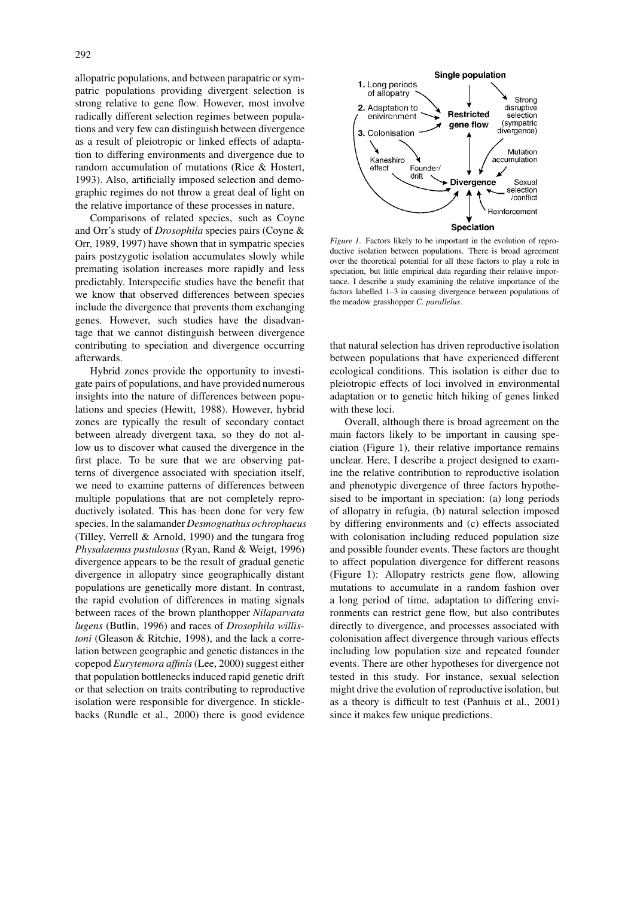allopatric populations, and between parapatric or sympatric populations providing divergent selection is strong relative to gene flow. However, most involve radically different selection regimes between populations and very few can distinguish between divergence as a result of pleiotropic or linked effects of adaptation to differing environments and divergence due to random accumulation of mutations (Rice & Hostert, 1993). Also, artificially imposed selection and demographic regimes do not throw a great deal of light on the relative importance of these processes in nature.

Comparisons of related species, such as Coyne and Orr's study of *Drosophila* species pairs (Coyne & Orr, 1989, 1997) have shown that in sympatric species pairs postzygotic isolation accumulates slowly while premating isolation increases more rapidly and less predictably. Interspecific studies have the benefit that we know that observed differences between species include the divergence that prevents them exchanging genes. However, such studies have the disadvantage that we cannot distinguish between divergence contributing to speciation and divergence occurring afterwards.

Hybrid zones provide the opportunity to investigate pairs of populations, and have provided numerous insights into the nature of differences between populations and species (Hewitt, 1988). However, hybrid zones are typically the result of secondary contact between already divergent taxa, so they do not allow us to discover what caused the divergence in the first place. To be sure that we are observing patterns of divergence associated with speciation itself, we need to examine patterns of differences between multiple populations that are not completely reproductively isolated. This has been done for very few species. In the salamander *Desmognathus ochrophaeus* (Tilley, Verrell & Arnold, 1990) and the tungara frog *Physalaemus pustulosus* (Ryan, Rand & Weigt, 1996) divergence appears to be the result of gradual genetic divergence in allopatry since geographically distant populations are genetically more distant. In contrast, the rapid evolution of differences in mating signals between races of the brown planthopper *Nilaparvata lugens* (Butlin, 1996) and races of *Drosophila willistoni* (Gleason & Ritchie, 1998), and the lack a correlation between geographic and genetic distances in the copepod *Eurytemora affinis*(Lee, 2000) suggest either that population bottlenecks induced rapid genetic drift or that selection on traits contributing to reproductive isolation were responsible for divergence. In sticklebacks (Rundle et al., 2000) there is good evidence



*Figure 1.* Factors likely to be important in the evolution of reproductive isolation between populations. There is broad agreement over the theoretical potential for all these factors to play a role in speciation, but little empirical data regarding their relative importance. I describe a study examining the relative importance of the factors labelled 1–3 in causing divergence between populations of the meadow grasshopper *C. parallelus*.

that natural selection has driven reproductive isolation between populations that have experienced different ecological conditions. This isolation is either due to pleiotropic effects of loci involved in environmental adaptation or to genetic hitch hiking of genes linked with these loci.

Overall, although there is broad agreement on the main factors likely to be important in causing speciation (Figure 1), their relative importance remains unclear. Here, I describe a project designed to examine the relative contribution to reproductive isolation and phenotypic divergence of three factors hypothesised to be important in speciation: (a) long periods of allopatry in refugia, (b) natural selection imposed by differing environments and (c) effects associated with colonisation including reduced population size and possible founder events. These factors are thought to affect population divergence for different reasons (Figure 1): Allopatry restricts gene flow, allowing mutations to accumulate in a random fashion over a long period of time, adaptation to differing environments can restrict gene flow, but also contributes directly to divergence, and processes associated with colonisation affect divergence through various effects including low population size and repeated founder events. There are other hypotheses for divergence not tested in this study. For instance, sexual selection might drive the evolution of reproductive isolation, but as a theory is difficult to test (Panhuis et al., 2001) since it makes few unique predictions.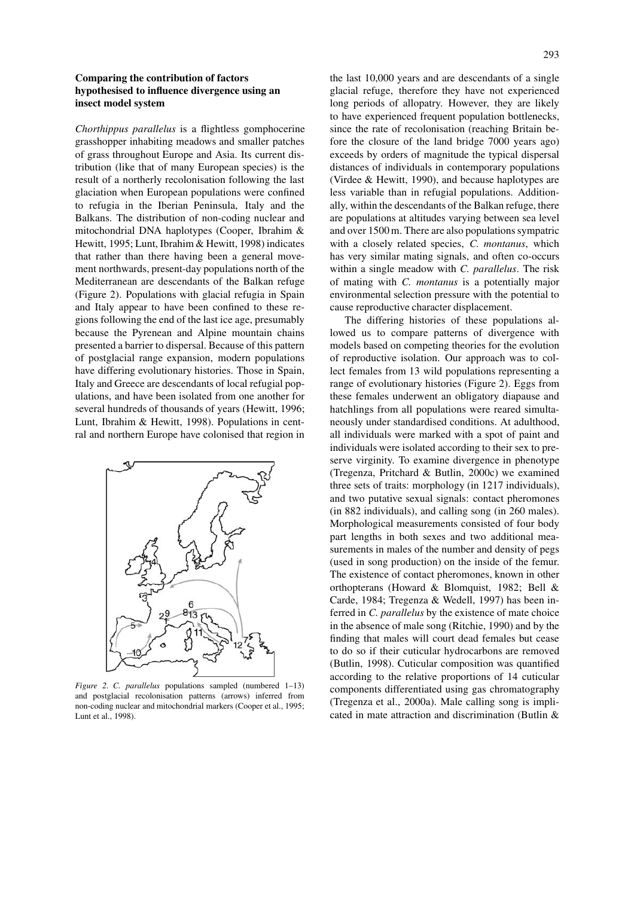# **Comparing the contribution of factors hypothesised to influence divergence using an insect model system**

*Chorthippus parallelus* is a flightless gomphocerine grasshopper inhabiting meadows and smaller patches of grass throughout Europe and Asia. Its current distribution (like that of many European species) is the result of a northerly recolonisation following the last glaciation when European populations were confined to refugia in the Iberian Peninsula, Italy and the Balkans. The distribution of non-coding nuclear and mitochondrial DNA haplotypes (Cooper, Ibrahim & Hewitt, 1995; Lunt, Ibrahim & Hewitt, 1998) indicates that rather than there having been a general movement northwards, present-day populations north of the Mediterranean are descendants of the Balkan refuge (Figure 2). Populations with glacial refugia in Spain and Italy appear to have been confined to these regions following the end of the last ice age, presumably because the Pyrenean and Alpine mountain chains presented a barrier to dispersal. Because of this pattern of postglacial range expansion, modern populations have differing evolutionary histories. Those in Spain, Italy and Greece are descendants of local refugial populations, and have been isolated from one another for several hundreds of thousands of years (Hewitt, 1996; Lunt, Ibrahim & Hewitt, 1998). Populations in central and northern Europe have colonised that region in



*Figure 2. C. parallelus* populations sampled (numbered 1–13) and postglacial recolonisation patterns (arrows) inferred from non-coding nuclear and mitochondrial markers (Cooper et al., 1995; Lunt et al., 1998).

the last 10,000 years and are descendants of a single glacial refuge, therefore they have not experienced long periods of allopatry. However, they are likely to have experienced frequent population bottlenecks, since the rate of recolonisation (reaching Britain before the closure of the land bridge 7000 years ago) exceeds by orders of magnitude the typical dispersal distances of individuals in contemporary populations (Virdee & Hewitt, 1990), and because haplotypes are less variable than in refugial populations. Additionally, within the descendants of the Balkan refuge, there are populations at altitudes varying between sea level and over 1500 m. There are also populations sympatric with a closely related species, *C. montanus*, which has very similar mating signals, and often co-occurs within a single meadow with *C. parallelus*. The risk of mating with *C. montanus* is a potentially major environmental selection pressure with the potential to cause reproductive character displacement.

The differing histories of these populations allowed us to compare patterns of divergence with models based on competing theories for the evolution of reproductive isolation. Our approach was to collect females from 13 wild populations representing a range of evolutionary histories (Figure 2). Eggs from these females underwent an obligatory diapause and hatchlings from all populations were reared simultaneously under standardised conditions. At adulthood, all individuals were marked with a spot of paint and individuals were isolated according to their sex to preserve virginity. To examine divergence in phenotype (Tregenza, Pritchard & Butlin, 2000c) we examined three sets of traits: morphology (in 1217 individuals), and two putative sexual signals: contact pheromones (in 882 individuals), and calling song (in 260 males). Morphological measurements consisted of four body part lengths in both sexes and two additional measurements in males of the number and density of pegs (used in song production) on the inside of the femur. The existence of contact pheromones, known in other orthopterans (Howard & Blomquist, 1982; Bell & Carde, 1984; Tregenza & Wedell, 1997) has been inferred in *C. parallelus* by the existence of mate choice in the absence of male song (Ritchie, 1990) and by the finding that males will court dead females but cease to do so if their cuticular hydrocarbons are removed (Butlin, 1998). Cuticular composition was quantified according to the relative proportions of 14 cuticular components differentiated using gas chromatography (Tregenza et al., 2000a). Male calling song is implicated in mate attraction and discrimination (Butlin &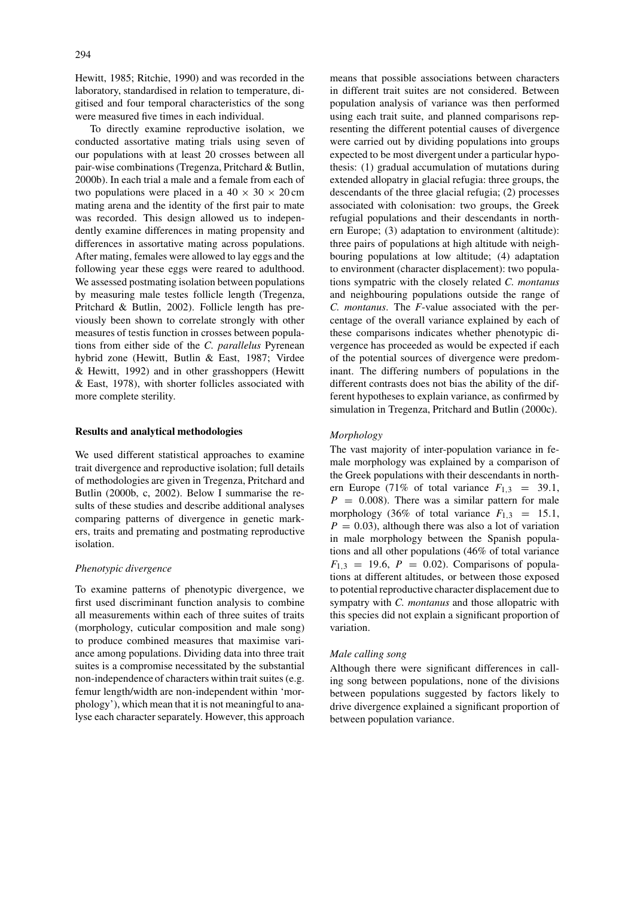Hewitt, 1985; Ritchie, 1990) and was recorded in the laboratory, standardised in relation to temperature, digitised and four temporal characteristics of the song were measured five times in each individual.

To directly examine reproductive isolation, we conducted assortative mating trials using seven of our populations with at least 20 crosses between all pair-wise combinations (Tregenza, Pritchard & Butlin, 2000b). In each trial a male and a female from each of two populations were placed in a  $40 \times 30 \times 20$  cm mating arena and the identity of the first pair to mate was recorded. This design allowed us to independently examine differences in mating propensity and differences in assortative mating across populations. After mating, females were allowed to lay eggs and the following year these eggs were reared to adulthood. We assessed postmating isolation between populations by measuring male testes follicle length (Tregenza, Pritchard & Butlin, 2002). Follicle length has previously been shown to correlate strongly with other measures of testis function in crosses between populations from either side of the *C. parallelus* Pyrenean hybrid zone (Hewitt, Butlin & East, 1987; Virdee & Hewitt, 1992) and in other grasshoppers (Hewitt & East, 1978), with shorter follicles associated with more complete sterility.

### **Results and analytical methodologies**

We used different statistical approaches to examine trait divergence and reproductive isolation; full details of methodologies are given in Tregenza, Pritchard and Butlin (2000b, c, 2002). Below I summarise the results of these studies and describe additional analyses comparing patterns of divergence in genetic markers, traits and premating and postmating reproductive isolation.

# *Phenotypic divergence*

To examine patterns of phenotypic divergence, we first used discriminant function analysis to combine all measurements within each of three suites of traits (morphology, cuticular composition and male song) to produce combined measures that maximise variance among populations. Dividing data into three trait suites is a compromise necessitated by the substantial non-independence of characters within trait suites (e.g. femur length/width are non-independent within 'morphology'), which mean that it is not meaningful to analyse each character separately. However, this approach means that possible associations between characters in different trait suites are not considered. Between population analysis of variance was then performed using each trait suite, and planned comparisons representing the different potential causes of divergence were carried out by dividing populations into groups expected to be most divergent under a particular hypothesis: (1) gradual accumulation of mutations during extended allopatry in glacial refugia: three groups, the descendants of the three glacial refugia; (2) processes associated with colonisation: two groups, the Greek refugial populations and their descendants in northern Europe; (3) adaptation to environment (altitude): three pairs of populations at high altitude with neighbouring populations at low altitude; (4) adaptation to environment (character displacement): two populations sympatric with the closely related *C. montanus* and neighbouring populations outside the range of *C. montanus*. The *F*-value associated with the percentage of the overall variance explained by each of these comparisons indicates whether phenotypic divergence has proceeded as would be expected if each of the potential sources of divergence were predominant. The differing numbers of populations in the different contrasts does not bias the ability of the different hypotheses to explain variance, as confirmed by simulation in Tregenza, Pritchard and Butlin (2000c).

### *Morphology*

The vast majority of inter-population variance in female morphology was explained by a comparison of the Greek populations with their descendants in northern Europe (71% of total variance  $F_{1,3} = 39.1$ ,  $P = 0.008$ . There was a similar pattern for male morphology (36% of total variance  $F_{1,3} = 15.1$ ,  $P = 0.03$ , although there was also a lot of variation in male morphology between the Spanish populations and all other populations (46% of total variance  $F_{1,3} = 19.6, P = 0.02$ . Comparisons of populations at different altitudes, or between those exposed to potential reproductive character displacement due to sympatry with *C. montanus* and those allopatric with this species did not explain a significant proportion of variation.

### *Male calling song*

Although there were significant differences in calling song between populations, none of the divisions between populations suggested by factors likely to drive divergence explained a significant proportion of between population variance.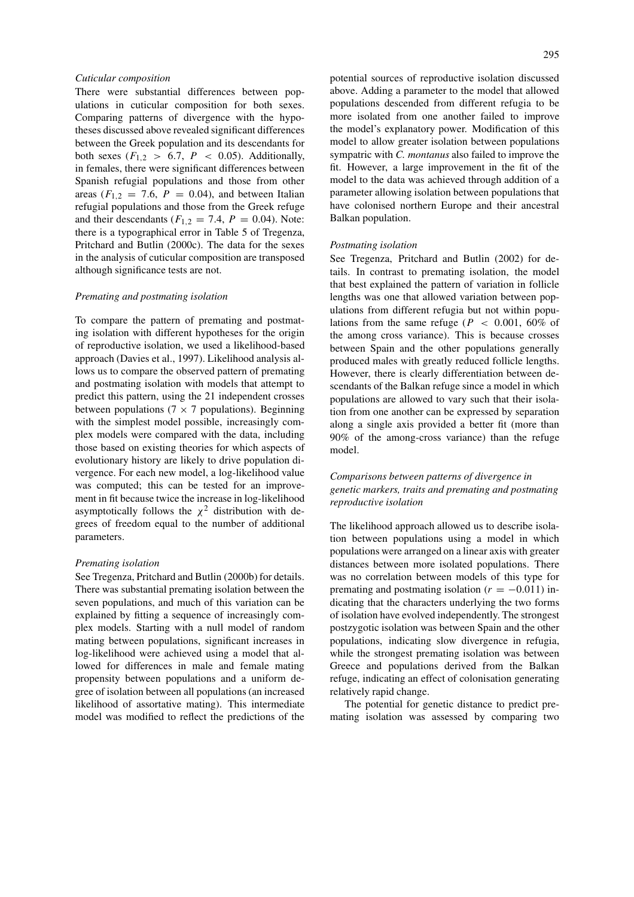# *Cuticular composition*

There were substantial differences between populations in cuticular composition for both sexes. Comparing patterns of divergence with the hypotheses discussed above revealed significant differences between the Greek population and its descendants for both sexes ( $F_{1,2} > 6.7$ ,  $P < 0.05$ ). Additionally, in females, there were significant differences between Spanish refugial populations and those from other areas  $(F_{1,2} = 7.6, P = 0.04)$ , and between Italian refugial populations and those from the Greek refuge and their descendants ( $F_{1,2} = 7.4$ ,  $P = 0.04$ ). Note: there is a typographical error in Table 5 of Tregenza, Pritchard and Butlin (2000c). The data for the sexes in the analysis of cuticular composition are transposed although significance tests are not.

### *Premating and postmating isolation*

To compare the pattern of premating and postmating isolation with different hypotheses for the origin of reproductive isolation, we used a likelihood-based approach (Davies et al., 1997). Likelihood analysis allows us to compare the observed pattern of premating and postmating isolation with models that attempt to predict this pattern, using the 21 independent crosses between populations ( $7 \times 7$  populations). Beginning with the simplest model possible, increasingly complex models were compared with the data, including those based on existing theories for which aspects of evolutionary history are likely to drive population divergence. For each new model, a log-likelihood value was computed; this can be tested for an improvement in fit because twice the increase in log-likelihood asymptotically follows the  $\chi^2$  distribution with degrees of freedom equal to the number of additional parameters.

### *Premating isolation*

See Tregenza, Pritchard and Butlin (2000b) for details. There was substantial premating isolation between the seven populations, and much of this variation can be explained by fitting a sequence of increasingly complex models. Starting with a null model of random mating between populations, significant increases in log-likelihood were achieved using a model that allowed for differences in male and female mating propensity between populations and a uniform degree of isolation between all populations (an increased likelihood of assortative mating). This intermediate model was modified to reflect the predictions of the potential sources of reproductive isolation discussed above. Adding a parameter to the model that allowed populations descended from different refugia to be more isolated from one another failed to improve the model's explanatory power. Modification of this model to allow greater isolation between populations sympatric with *C. montanus* also failed to improve the fit. However, a large improvement in the fit of the model to the data was achieved through addition of a parameter allowing isolation between populations that have colonised northern Europe and their ancestral Balkan population.

### *Postmating isolation*

See Tregenza, Pritchard and Butlin (2002) for details. In contrast to premating isolation, the model that best explained the pattern of variation in follicle lengths was one that allowed variation between populations from different refugia but not within populations from the same refuge ( $P < 0.001$ , 60% of the among cross variance). This is because crosses between Spain and the other populations generally produced males with greatly reduced follicle lengths. However, there is clearly differentiation between descendants of the Balkan refuge since a model in which populations are allowed to vary such that their isolation from one another can be expressed by separation along a single axis provided a better fit (more than 90% of the among-cross variance) than the refuge model.

# *Comparisons between patterns of divergence in genetic markers, traits and premating and postmating reproductive isolation*

The likelihood approach allowed us to describe isolation between populations using a model in which populations were arranged on a linear axis with greater distances between more isolated populations. There was no correlation between models of this type for premating and postmating isolation  $(r = -0.011)$  indicating that the characters underlying the two forms of isolation have evolved independently. The strongest postzygotic isolation was between Spain and the other populations, indicating slow divergence in refugia, while the strongest premating isolation was between Greece and populations derived from the Balkan refuge, indicating an effect of colonisation generating relatively rapid change.

The potential for genetic distance to predict premating isolation was assessed by comparing two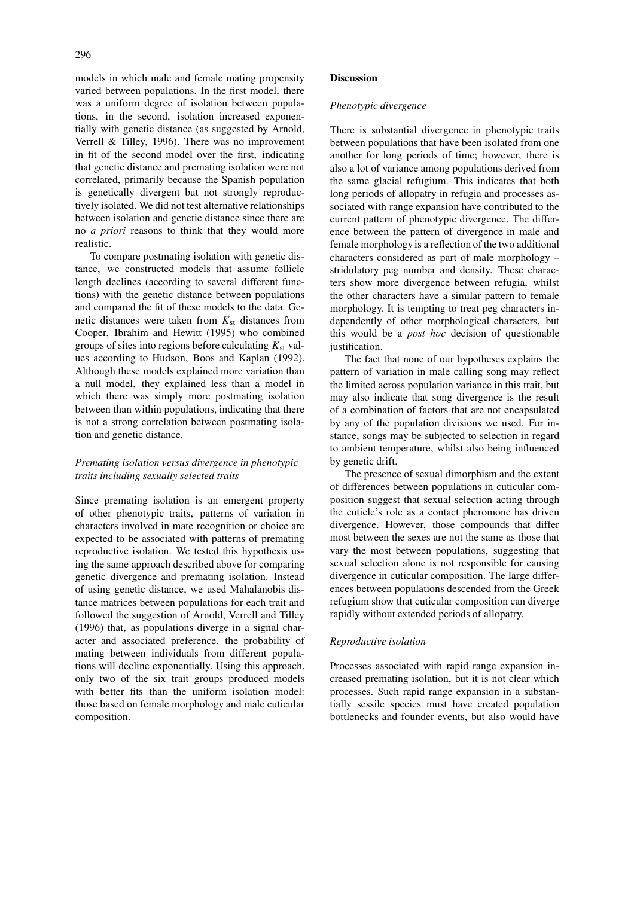models in which male and female mating propensity varied between populations. In the first model, there was a uniform degree of isolation between populations, in the second, isolation increased exponentially with genetic distance (as suggested by Arnold, Verrell & Tilley, 1996). There was no improvement in fit of the second model over the first, indicating that genetic distance and premating isolation were not correlated, primarily because the Spanish population is genetically divergent but not strongly reproductively isolated. We did not test alternative relationships between isolation and genetic distance since there are no *a priori* reasons to think that they would more realistic.

To compare postmating isolation with genetic distance, we constructed models that assume follicle length declines (according to several different functions) with the genetic distance between populations and compared the fit of these models to the data. Genetic distances were taken from  $K_{st}$  distances from Cooper, Ibrahim and Hewitt (1995) who combined groups of sites into regions before calculating  $K_{st}$  values according to Hudson, Boos and Kaplan (1992). Although these models explained more variation than a null model, they explained less than a model in which there was simply more postmating isolation between than within populations, indicating that there is not a strong correlation between postmating isolation and genetic distance.

# *Premating isolation versus divergence in phenotypic traits including sexually selected traits*

Since premating isolation is an emergent property of other phenotypic traits, patterns of variation in characters involved in mate recognition or choice are expected to be associated with patterns of premating reproductive isolation. We tested this hypothesis using the same approach described above for comparing genetic divergence and premating isolation. Instead of using genetic distance, we used Mahalanobis distance matrices between populations for each trait and followed the suggestion of Arnold, Verrell and Tilley (1996) that, as populations diverge in a signal character and associated preference, the probability of mating between individuals from different populations will decline exponentially. Using this approach, only two of the six trait groups produced models with better fits than the uniform isolation model: those based on female morphology and male cuticular composition.

# **Discussion**

#### *Phenotypic divergence*

There is substantial divergence in phenotypic traits between populations that have been isolated from one another for long periods of time; however, there is also a lot of variance among populations derived from the same glacial refugium. This indicates that both long periods of allopatry in refugia and processes associated with range expansion have contributed to the current pattern of phenotypic divergence. The difference between the pattern of divergence in male and female morphology is a reflection of the two additional characters considered as part of male morphology – stridulatory peg number and density. These characters show more divergence between refugia, whilst the other characters have a similar pattern to female morphology. It is tempting to treat peg characters independently of other morphological characters, but this would be a *post hoc* decision of questionable justification.

The fact that none of our hypotheses explains the pattern of variation in male calling song may reflect the limited across population variance in this trait, but may also indicate that song divergence is the result of a combination of factors that are not encapsulated by any of the population divisions we used. For instance, songs may be subjected to selection in regard to ambient temperature, whilst also being influenced by genetic drift.

The presence of sexual dimorphism and the extent of differences between populations in cuticular composition suggest that sexual selection acting through the cuticle's role as a contact pheromone has driven divergence. However, those compounds that differ most between the sexes are not the same as those that vary the most between populations, suggesting that sexual selection alone is not responsible for causing divergence in cuticular composition. The large differences between populations descended from the Greek refugium show that cuticular composition can diverge rapidly without extended periods of allopatry.

### *Reproductive isolation*

Processes associated with rapid range expansion increased premating isolation, but it is not clear which processes. Such rapid range expansion in a substantially sessile species must have created population bottlenecks and founder events, but also would have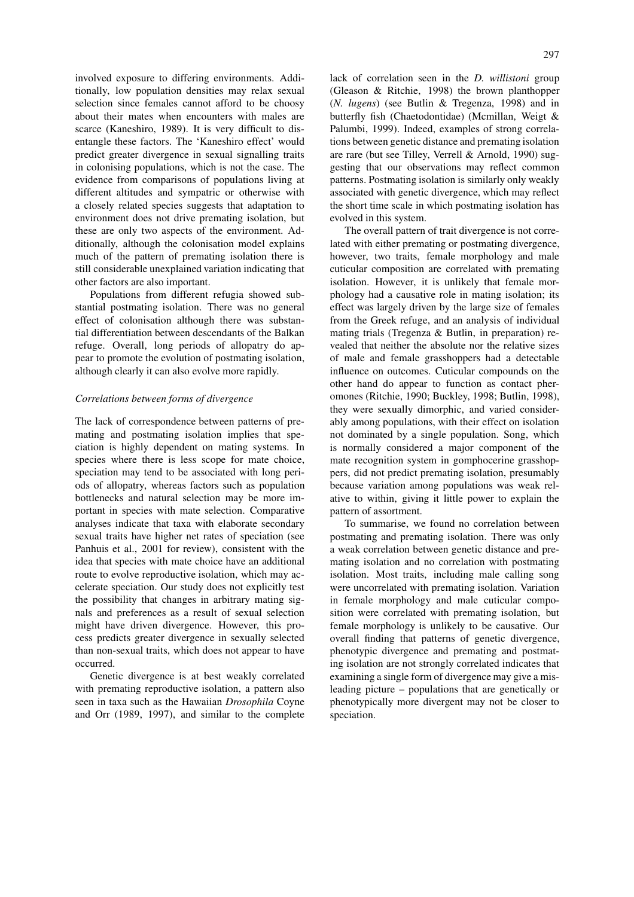involved exposure to differing environments. Additionally, low population densities may relax sexual selection since females cannot afford to be choosy about their mates when encounters with males are scarce (Kaneshiro, 1989). It is very difficult to disentangle these factors. The 'Kaneshiro effect' would predict greater divergence in sexual signalling traits in colonising populations, which is not the case. The evidence from comparisons of populations living at different altitudes and sympatric or otherwise with a closely related species suggests that adaptation to environment does not drive premating isolation, but these are only two aspects of the environment. Additionally, although the colonisation model explains much of the pattern of premating isolation there is still considerable unexplained variation indicating that other factors are also important.

Populations from different refugia showed substantial postmating isolation. There was no general effect of colonisation although there was substantial differentiation between descendants of the Balkan refuge. Overall, long periods of allopatry do appear to promote the evolution of postmating isolation, although clearly it can also evolve more rapidly.

### *Correlations between forms of divergence*

The lack of correspondence between patterns of premating and postmating isolation implies that speciation is highly dependent on mating systems. In species where there is less scope for mate choice, speciation may tend to be associated with long periods of allopatry, whereas factors such as population bottlenecks and natural selection may be more important in species with mate selection. Comparative analyses indicate that taxa with elaborate secondary sexual traits have higher net rates of speciation (see Panhuis et al., 2001 for review), consistent with the idea that species with mate choice have an additional route to evolve reproductive isolation, which may accelerate speciation. Our study does not explicitly test the possibility that changes in arbitrary mating signals and preferences as a result of sexual selection might have driven divergence. However, this process predicts greater divergence in sexually selected than non-sexual traits, which does not appear to have occurred.

Genetic divergence is at best weakly correlated with premating reproductive isolation, a pattern also seen in taxa such as the Hawaiian *Drosophila* Coyne and Orr (1989, 1997), and similar to the complete

lack of correlation seen in the *D. willistoni* group (Gleason & Ritchie, 1998) the brown planthopper (*N. lugens*) (see Butlin & Tregenza, 1998) and in butterfly fish (Chaetodontidae) (Mcmillan, Weigt & Palumbi, 1999). Indeed, examples of strong correlations between genetic distance and premating isolation are rare (but see Tilley, Verrell & Arnold, 1990) suggesting that our observations may reflect common patterns. Postmating isolation is similarly only weakly associated with genetic divergence, which may reflect the short time scale in which postmating isolation has evolved in this system.

The overall pattern of trait divergence is not correlated with either premating or postmating divergence, however, two traits, female morphology and male cuticular composition are correlated with premating isolation. However, it is unlikely that female morphology had a causative role in mating isolation; its effect was largely driven by the large size of females from the Greek refuge, and an analysis of individual mating trials (Tregenza & Butlin, in preparation) revealed that neither the absolute nor the relative sizes of male and female grasshoppers had a detectable influence on outcomes. Cuticular compounds on the other hand do appear to function as contact pheromones (Ritchie, 1990; Buckley, 1998; Butlin, 1998), they were sexually dimorphic, and varied considerably among populations, with their effect on isolation not dominated by a single population. Song, which is normally considered a major component of the mate recognition system in gomphocerine grasshoppers, did not predict premating isolation, presumably because variation among populations was weak relative to within, giving it little power to explain the pattern of assortment.

To summarise, we found no correlation between postmating and premating isolation. There was only a weak correlation between genetic distance and premating isolation and no correlation with postmating isolation. Most traits, including male calling song were uncorrelated with premating isolation. Variation in female morphology and male cuticular composition were correlated with premating isolation, but female morphology is unlikely to be causative. Our overall finding that patterns of genetic divergence, phenotypic divergence and premating and postmating isolation are not strongly correlated indicates that examining a single form of divergence may give a misleading picture – populations that are genetically or phenotypically more divergent may not be closer to speciation.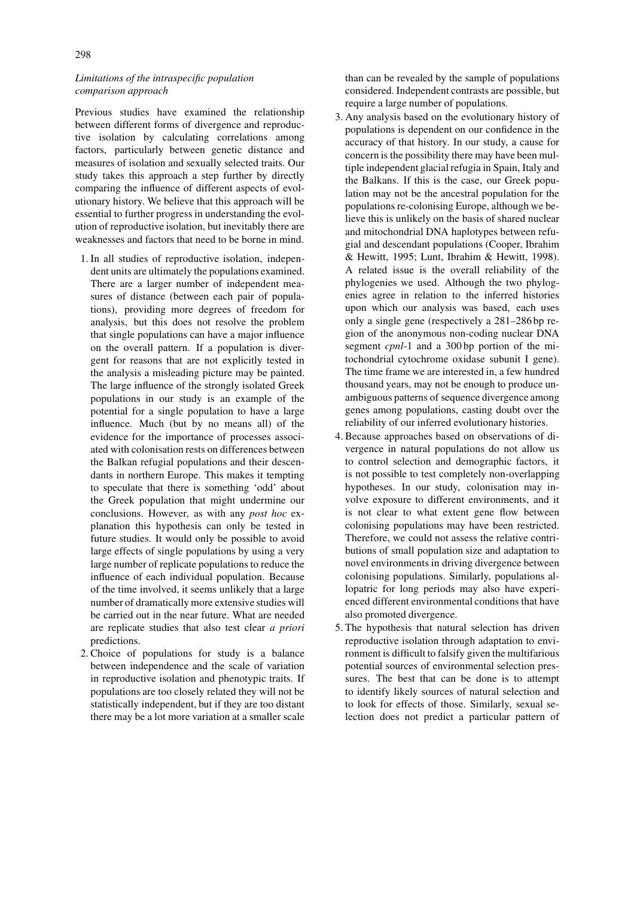# *Limitations of the intraspecific population comparison approach*

Previous studies have examined the relationship between different forms of divergence and reproductive isolation by calculating correlations among factors, particularly between genetic distance and measures of isolation and sexually selected traits. Our study takes this approach a step further by directly comparing the influence of different aspects of evolutionary history. We believe that this approach will be essential to further progress in understanding the evolution of reproductive isolation, but inevitably there are weaknesses and factors that need to be borne in mind.

- 1. In all studies of reproductive isolation, independent units are ultimately the populations examined. There are a larger number of independent measures of distance (between each pair of populations), providing more degrees of freedom for analysis, but this does not resolve the problem that single populations can have a major influence on the overall pattern. If a population is divergent for reasons that are not explicitly tested in the analysis a misleading picture may be painted. The large influence of the strongly isolated Greek populations in our study is an example of the potential for a single population to have a large influence. Much (but by no means all) of the evidence for the importance of processes associated with colonisation rests on differences between the Balkan refugial populations and their descendants in northern Europe. This makes it tempting to speculate that there is something 'odd' about the Greek population that might undermine our conclusions. However, as with any *post hoc* explanation this hypothesis can only be tested in future studies. It would only be possible to avoid large effects of single populations by using a very large number of replicate populations to reduce the influence of each individual population. Because of the time involved, it seems unlikely that a large number of dramatically more extensive studies will be carried out in the near future. What are needed are replicate studies that also test clear *a priori* predictions.
- 2. Choice of populations for study is a balance between independence and the scale of variation in reproductive isolation and phenotypic traits. If populations are too closely related they will not be statistically independent, but if they are too distant there may be a lot more variation at a smaller scale

than can be revealed by the sample of populations considered. Independent contrasts are possible, but require a large number of populations.

- 3. Any analysis based on the evolutionary history of populations is dependent on our confidence in the accuracy of that history. In our study, a cause for concern is the possibility there may have been multiple independent glacial refugia in Spain, Italy and the Balkans. If this is the case, our Greek population may not be the ancestral population for the populations re-colonising Europe, although we believe this is unlikely on the basis of shared nuclear and mitochondrial DNA haplotypes between refugial and descendant populations (Cooper, Ibrahim & Hewitt, 1995; Lunt, Ibrahim & Hewitt, 1998). A related issue is the overall reliability of the phylogenies we used. Although the two phylogenies agree in relation to the inferred histories upon which our analysis was based, each uses only a single gene (respectively a 281–286 bp region of the anonymous non-coding nuclear DNA segment *cpnl*-1 and a 300 bp portion of the mitochondrial cytochrome oxidase subunit I gene). The time frame we are interested in, a few hundred thousand years, may not be enough to produce unambiguous patterns of sequence divergence among genes among populations, casting doubt over the reliability of our inferred evolutionary histories.
- 4. Because approaches based on observations of divergence in natural populations do not allow us to control selection and demographic factors, it is not possible to test completely non-overlapping hypotheses. In our study, colonisation may involve exposure to different environments, and it is not clear to what extent gene flow between colonising populations may have been restricted. Therefore, we could not assess the relative contributions of small population size and adaptation to novel environments in driving divergence between colonising populations. Similarly, populations allopatric for long periods may also have experienced different environmental conditions that have also promoted divergence.
- 5. The hypothesis that natural selection has driven reproductive isolation through adaptation to environment is difficult to falsify given the multifarious potential sources of environmental selection pressures. The best that can be done is to attempt to identify likely sources of natural selection and to look for effects of those. Similarly, sexual selection does not predict a particular pattern of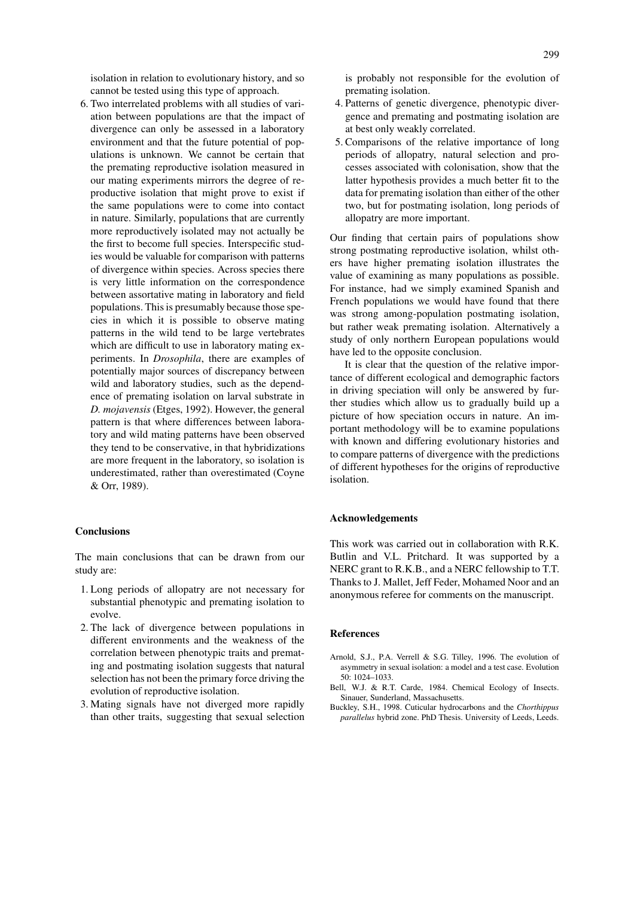isolation in relation to evolutionary history, and so cannot be tested using this type of approach.

6. Two interrelated problems with all studies of variation between populations are that the impact of divergence can only be assessed in a laboratory environment and that the future potential of populations is unknown. We cannot be certain that the premating reproductive isolation measured in our mating experiments mirrors the degree of reproductive isolation that might prove to exist if the same populations were to come into contact in nature. Similarly, populations that are currently more reproductively isolated may not actually be the first to become full species. Interspecific studies would be valuable for comparison with patterns of divergence within species. Across species there is very little information on the correspondence between assortative mating in laboratory and field populations. This is presumably because those species in which it is possible to observe mating patterns in the wild tend to be large vertebrates which are difficult to use in laboratory mating experiments. In *Drosophila*, there are examples of potentially major sources of discrepancy between wild and laboratory studies, such as the dependence of premating isolation on larval substrate in *D. mojavensis* (Etges, 1992). However, the general pattern is that where differences between laboratory and wild mating patterns have been observed they tend to be conservative, in that hybridizations are more frequent in the laboratory, so isolation is underestimated, rather than overestimated (Coyne & Orr, 1989).

### **Conclusions**

The main conclusions that can be drawn from our study are:

- 1. Long periods of allopatry are not necessary for substantial phenotypic and premating isolation to evolve.
- 2. The lack of divergence between populations in different environments and the weakness of the correlation between phenotypic traits and premating and postmating isolation suggests that natural selection has not been the primary force driving the evolution of reproductive isolation.
- 3. Mating signals have not diverged more rapidly than other traits, suggesting that sexual selection

is probably not responsible for the evolution of premating isolation.

- 4. Patterns of genetic divergence, phenotypic divergence and premating and postmating isolation are at best only weakly correlated.
- 5. Comparisons of the relative importance of long periods of allopatry, natural selection and processes associated with colonisation, show that the latter hypothesis provides a much better fit to the data for premating isolation than either of the other two, but for postmating isolation, long periods of allopatry are more important.

Our finding that certain pairs of populations show strong postmating reproductive isolation, whilst others have higher premating isolation illustrates the value of examining as many populations as possible. For instance, had we simply examined Spanish and French populations we would have found that there was strong among-population postmating isolation, but rather weak premating isolation. Alternatively a study of only northern European populations would have led to the opposite conclusion.

It is clear that the question of the relative importance of different ecological and demographic factors in driving speciation will only be answered by further studies which allow us to gradually build up a picture of how speciation occurs in nature. An important methodology will be to examine populations with known and differing evolutionary histories and to compare patterns of divergence with the predictions of different hypotheses for the origins of reproductive isolation.

### **Acknowledgements**

This work was carried out in collaboration with R.K. Butlin and V.L. Pritchard. It was supported by a NERC grant to R.K.B., and a NERC fellowship to T.T. Thanks to J. Mallet, Jeff Feder, Mohamed Noor and an anonymous referee for comments on the manuscript.

# **References**

- Arnold, S.J., P.A. Verrell & S.G. Tilley, 1996. The evolution of asymmetry in sexual isolation: a model and a test case. Evolution 50: 1024–1033.
- Bell, W.J. & R.T. Carde, 1984. Chemical Ecology of Insects. Sinauer, Sunderland, Massachusetts.
- Buckley, S.H., 1998. Cuticular hydrocarbons and the *Chorthippus parallelus* hybrid zone. PhD Thesis. University of Leeds, Leeds.